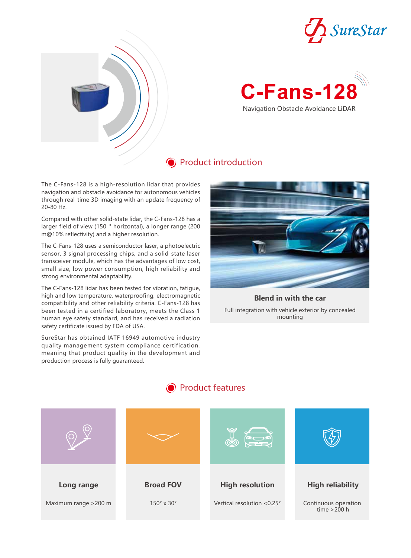



# **C-Fans-128** Navigation Obstacle Avoidance LiDAR

### **O** Product introduction

The C-Fans-128 is a high-resolution lidar that provides navigation and obstacle avoidance for autonomous vehicles through real-time 3D imaging with an update frequency of 20-80 Hz.

Compared with other solid-state lidar, the C-Fans-128 has a larger field of view (150 ° horizontal), a longer range (200 m@10% reflectivity) and a higher resolution.

The C-Fans-128 uses a semiconductor laser, a photoelectric sensor, 3 signal processing chips, and a solid-state laser transceiver module, which has the advantages of low cost, small size, low power consumption, high reliability and strong environmental adaptability.

The C-Fans-128 lidar has been tested for vibration, fatigue, high and low temperature, waterproofing, electromagnetic compatibility and other reliability criteria. C-Fans-128 has been tested in a certified laboratory, meets the Class 1 human eye safety standard, and has received a radiation safety certificate issued by FDA of USA.

SureStar has obtained IATF 16949 automotive industry quality management system compliance certification, meaning that product quality in the development and production process is fully guaranteed.



#### Full integration with vehicle exterior by concealed mounting **Blend in with the car**